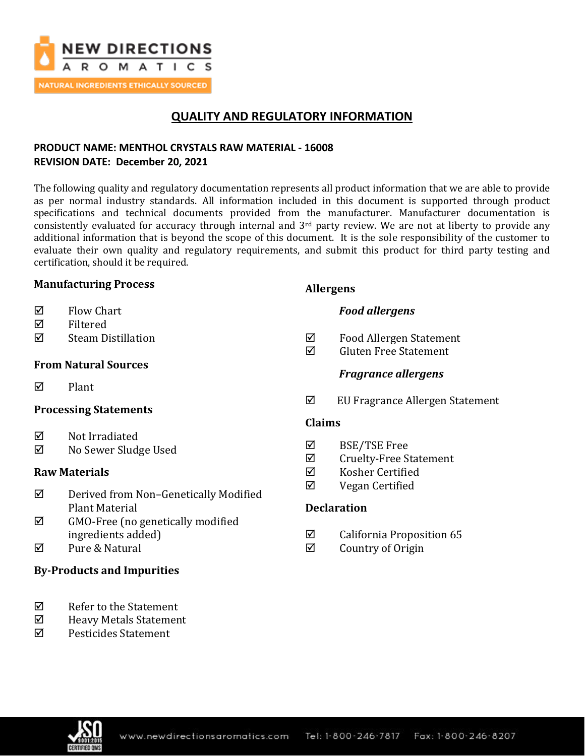

# **QUALITY AND REGULATORY INFORMATION**

## **PRODUCT NAME: MENTHOL CRYSTALS RAW MATERIAL - 16008 REVISION DATE: December 20, 2021**

The following quality and regulatory documentation represents all product information that we are able to provide as per normal industry standards. All information included in this document is supported through product specifications and technical documents provided from the manufacturer. Manufacturer documentation is consistently evaluated for accuracy through internal and 3rd party review. We are not at liberty to provide any additional information that is beyond the scope of this document. It is the sole responsibility of the customer to evaluate their own quality and regulatory requirements, and submit this product for third party testing and certification, should it be required.

### **Manufacturing Process**

- $\boxtimes$  Flow Chart
- Filtered
- Steam Distillation

## **From Natural Sources**

 $\nabla$  Plant

### **Processing Statements**

- $\boxtimes$  Not Irradiated
- No Sewer Sludge Used

### **Raw Materials**

- Derived from Non–Genetically Modified Plant Material
- $\boxtimes$  GMO-Free (no genetically modified ingredients added)
- Pure & Natural

## **By-Products and Impurities**

- $\nabla$  Refer to the Statement
- Heavy Metals Statement
- $\boxtimes$  Pesticides Statement

## **Allergens**

## *Food allergens*

- Food Allergen Statement
- $\boxtimes$  Gluten Free Statement

## *Fragrance allergens*

EU Fragrance Allergen Statement

### **Claims**

- BSE/TSE Free
- $\boxtimes$  Cruelty-Free Statement
- Kosher Certified
- Vegan Certified

## **Declaration**

- $\boxtimes$  California Proposition 65
- $\boxtimes$  Country of Origin

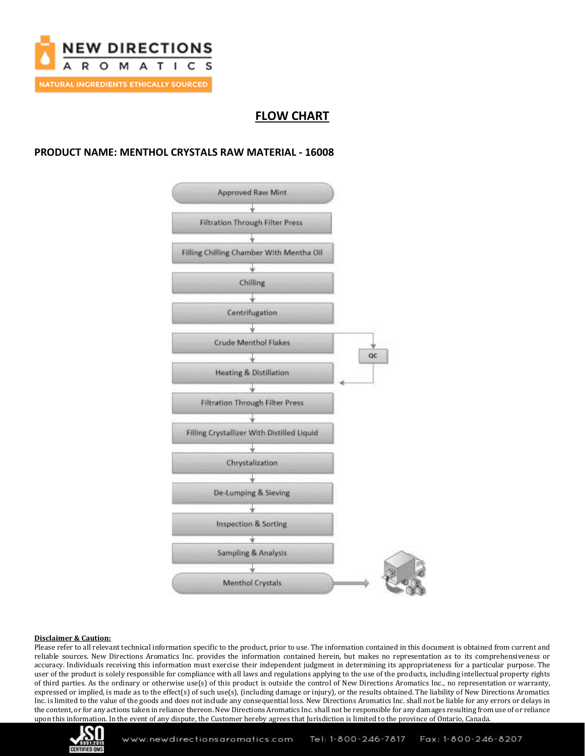

# **FLOW CHART**

### **PRODUCT NAME: MENTHOL CRYSTALS RAW MATERIAL - 16008**



#### **Disclaimer & Caution:**

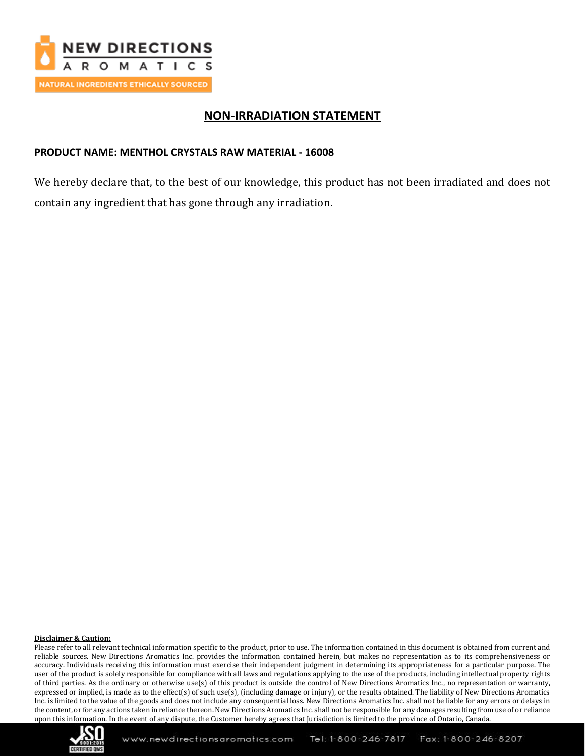

## **NON-IRRADIATION STATEMENT**

### **PRODUCT NAME: MENTHOL CRYSTALS RAW MATERIAL - 16008**

We hereby declare that, to the best of our knowledge, this product has not been irradiated and does not contain any ingredient that has gone through any irradiation.

#### **Disclaimer & Caution:**

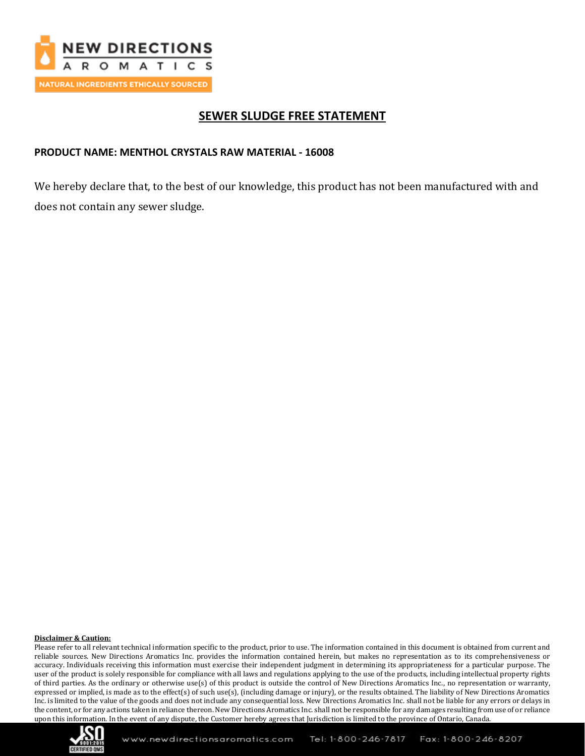

# **SEWER SLUDGE FREE STATEMENT**

### **PRODUCT NAME: MENTHOL CRYSTALS RAW MATERIAL - 16008**

We hereby declare that, to the best of our knowledge, this product has not been manufactured with and does not contain any sewer sludge.

#### **Disclaimer & Caution:**

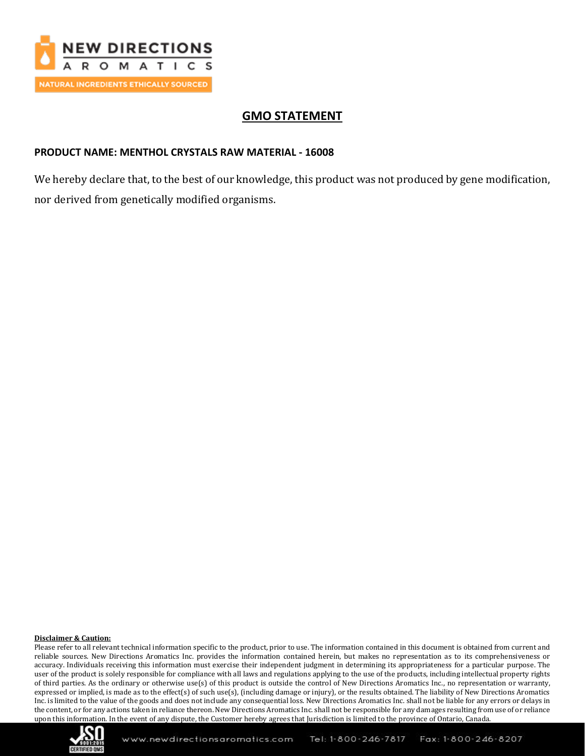

# **GMO STATEMENT**

### **PRODUCT NAME: MENTHOL CRYSTALS RAW MATERIAL - 16008**

We hereby declare that, to the best of our knowledge, this product was not produced by gene modification, nor derived from genetically modified organisms.

#### **Disclaimer & Caution:**

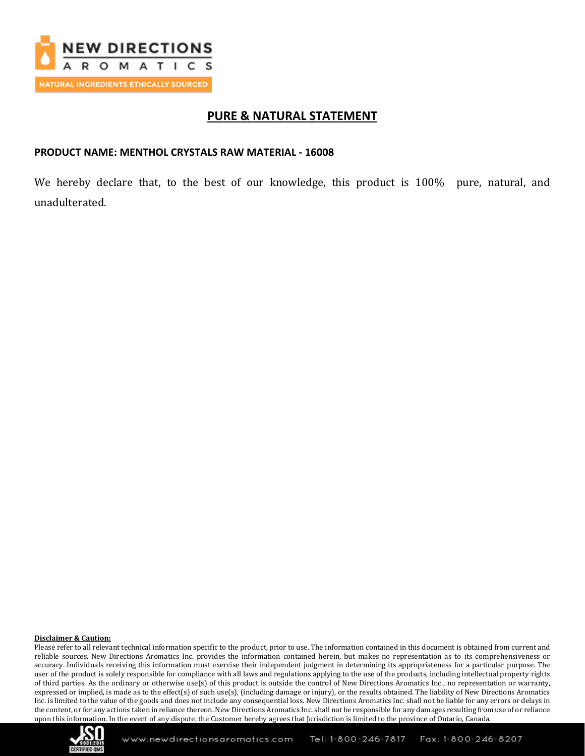

## **PURE & NATURAL STATEMENT**

#### **PRODUCT NAME: MENTHOL CRYSTALS RAW MATERIAL - 16008**

We hereby declare that, to the best of our knowledge, this product is 100% pure, natural, and unadulterated.

#### **Disclaimer & Caution:**

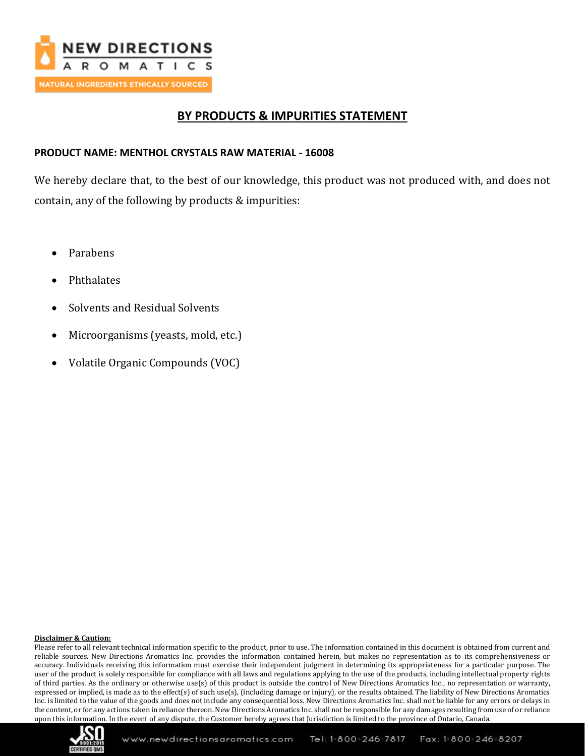

# **BY PRODUCTS & IMPURITIES STATEMENT**

### **PRODUCT NAME: MENTHOL CRYSTALS RAW MATERIAL - 16008**

We hereby declare that, to the best of our knowledge, this product was not produced with, and does not contain, any of the following by products & impurities:

- Parabens
- Phthalates
- Solvents and Residual Solvents
- Microorganisms (yeasts, mold, etc.)
- Volatile Organic Compounds (VOC)

#### **Disclaimer & Caution:**

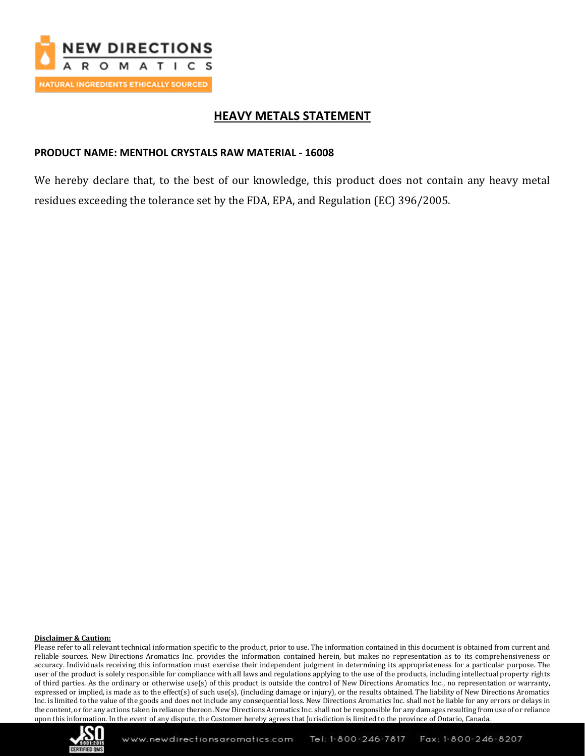

# **HEAVY METALS STATEMENT**

#### **PRODUCT NAME: MENTHOL CRYSTALS RAW MATERIAL - 16008**

We hereby declare that, to the best of our knowledge, this product does not contain any heavy metal residues exceeding the tolerance set by the FDA, EPA, and Regulation (EC) 396/2005.

#### **Disclaimer & Caution:**

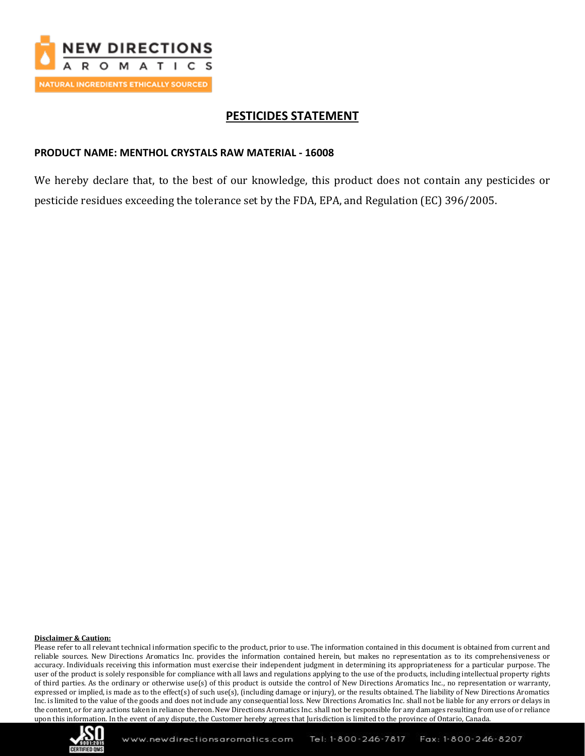

## **PESTICIDES STATEMENT**

#### **PRODUCT NAME: MENTHOL CRYSTALS RAW MATERIAL - 16008**

We hereby declare that, to the best of our knowledge, this product does not contain any pesticides or pesticide residues exceeding the tolerance set by the FDA, EPA, and Regulation (EC) 396/2005.

#### **Disclaimer & Caution:**

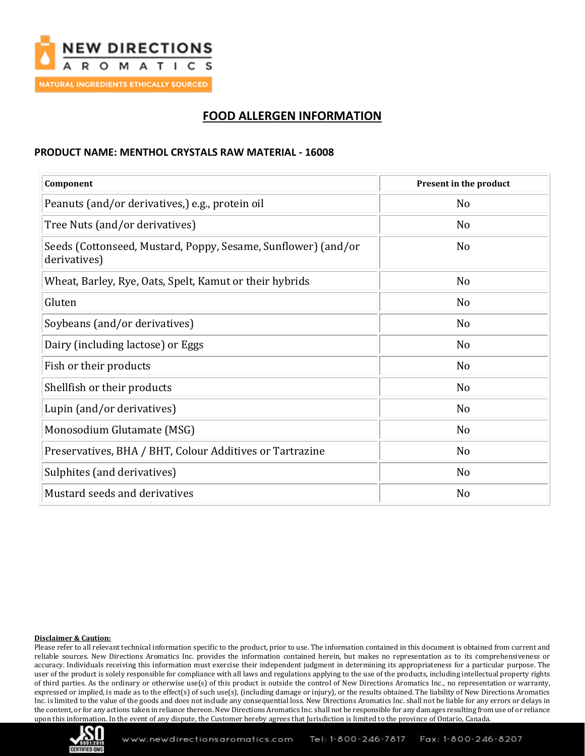

# **FOOD ALLERGEN INFORMATION**

#### **PRODUCT NAME: MENTHOL CRYSTALS RAW MATERIAL - 16008**

| Component                                                                     | Present in the product |
|-------------------------------------------------------------------------------|------------------------|
| Peanuts (and/or derivatives,) e.g., protein oil                               | N <sub>o</sub>         |
| Tree Nuts (and/or derivatives)                                                | N <sub>o</sub>         |
| Seeds (Cottonseed, Mustard, Poppy, Sesame, Sunflower) (and/or<br>derivatives) | N <sub>o</sub>         |
| Wheat, Barley, Rye, Oats, Spelt, Kamut or their hybrids                       | N <sub>o</sub>         |
| Gluten                                                                        | N <sub>o</sub>         |
| Soybeans (and/or derivatives)                                                 | N <sub>o</sub>         |
| Dairy (including lactose) or Eggs                                             | N <sub>o</sub>         |
| Fish or their products                                                        | N <sub>o</sub>         |
| Shellfish or their products                                                   | N <sub>o</sub>         |
| Lupin (and/or derivatives)                                                    | N <sub>o</sub>         |
| Monosodium Glutamate (MSG)                                                    | N <sub>o</sub>         |
| Preservatives, BHA / BHT, Colour Additives or Tartrazine                      | N <sub>o</sub>         |
| Sulphites (and derivatives)                                                   | N <sub>o</sub>         |
| Mustard seeds and derivatives                                                 | N <sub>o</sub>         |

#### **Disclaimer & Caution:**

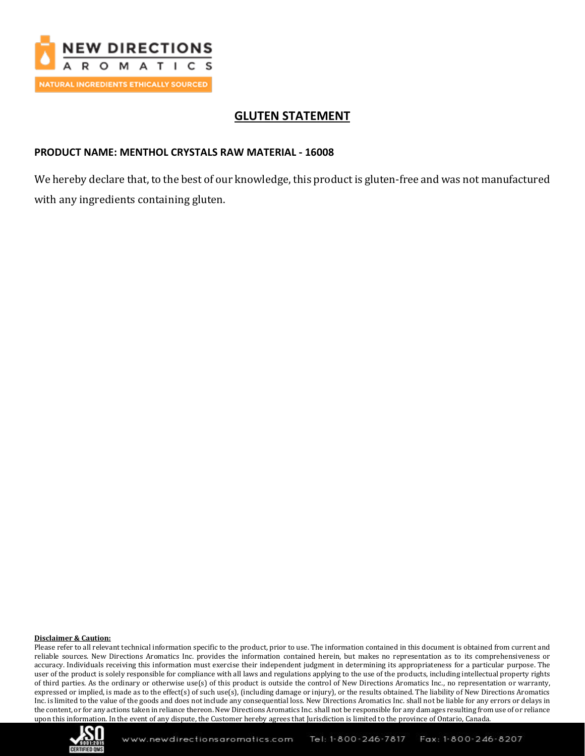

# **GLUTEN STATEMENT**

### **PRODUCT NAME: MENTHOL CRYSTALS RAW MATERIAL - 16008**

We hereby declare that, to the best of our knowledge, this product is gluten-free and was not manufactured with any ingredients containing gluten.

#### **Disclaimer & Caution:**

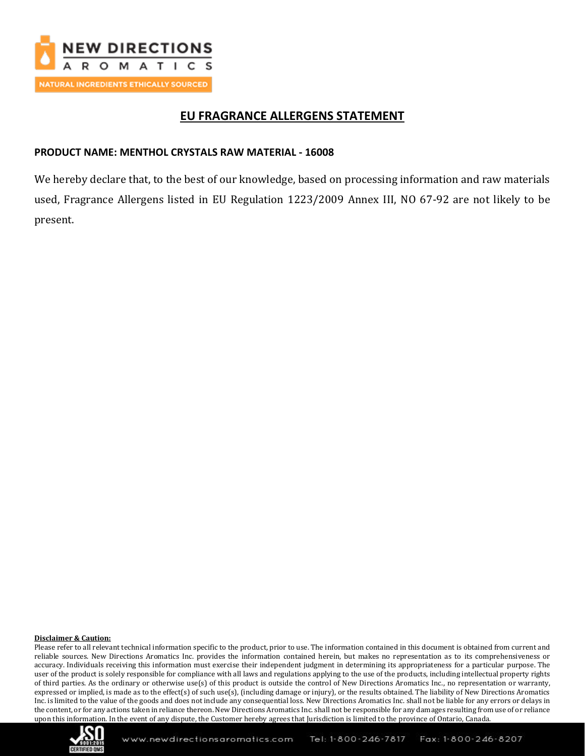

## **EU FRAGRANCE ALLERGENS STATEMENT**

### **PRODUCT NAME: MENTHOL CRYSTALS RAW MATERIAL - 16008**

We hereby declare that, to the best of our knowledge, based on processing information and raw materials used, Fragrance Allergens listed in EU Regulation 1223/2009 Annex III, NO 67-92 are not likely to be present.

#### **Disclaimer & Caution:**

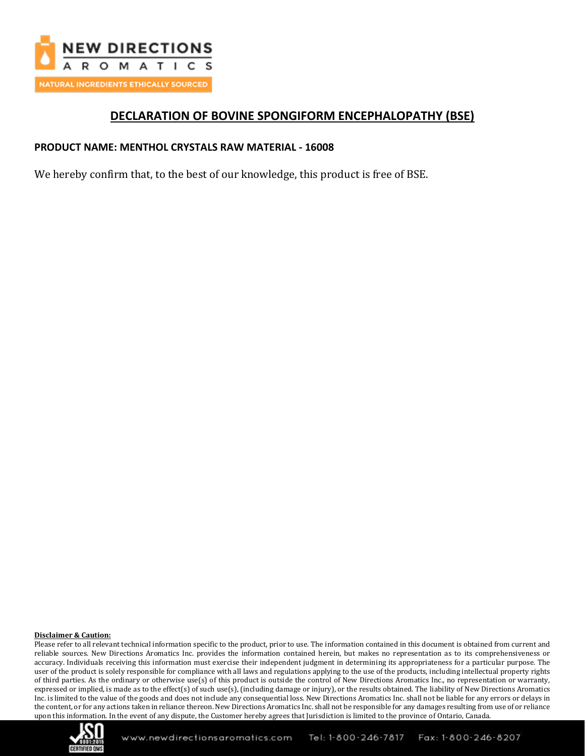

## **DECLARATION OF BOVINE SPONGIFORM ENCEPHALOPATHY (BSE)**

### **PRODUCT NAME: MENTHOL CRYSTALS RAW MATERIAL - 16008**

We hereby confirm that, to the best of our knowledge, this product is free of BSE.

#### **Disclaimer & Caution:**

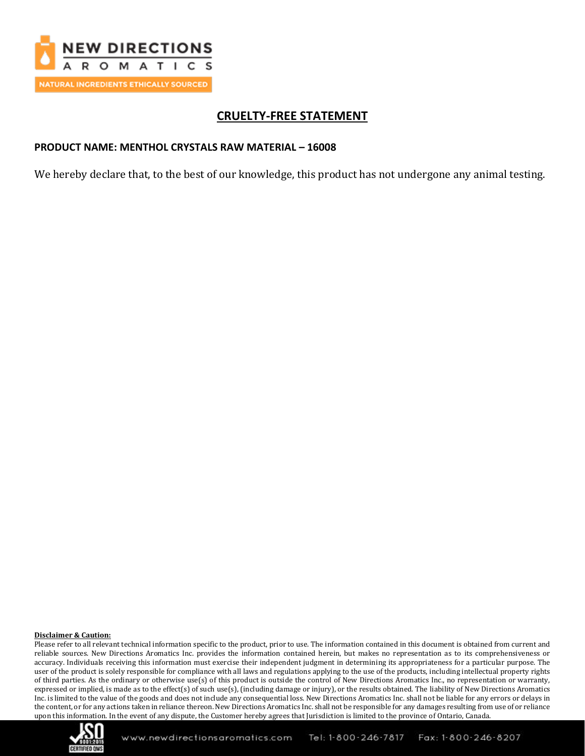

# **CRUELTY-FREE STATEMENT**

### **PRODUCT NAME: MENTHOL CRYSTALS RAW MATERIAL – 16008**

We hereby declare that, to the best of our knowledge, this product has not undergone any animal testing.

#### **Disclaimer & Caution:**

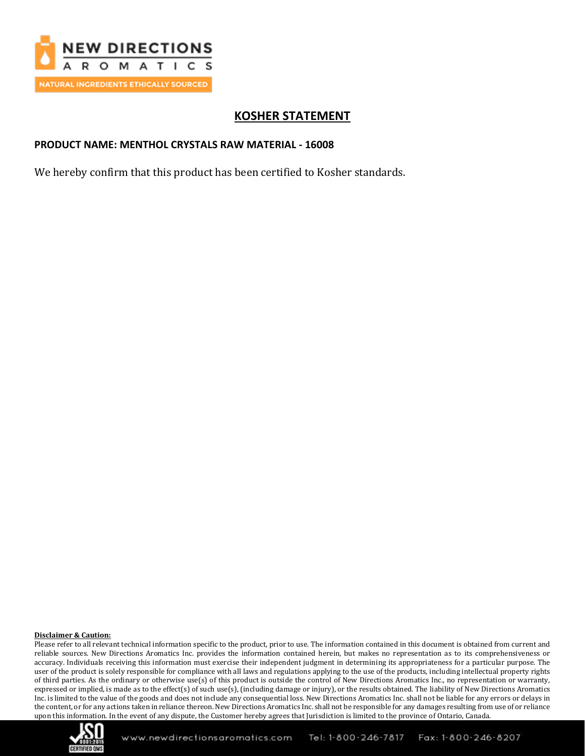

# **KOSHER STATEMENT**

### **PRODUCT NAME: MENTHOL CRYSTALS RAW MATERIAL - 16008**

We hereby confirm that this product has been certified to Kosher standards.

#### **Disclaimer & Caution:**

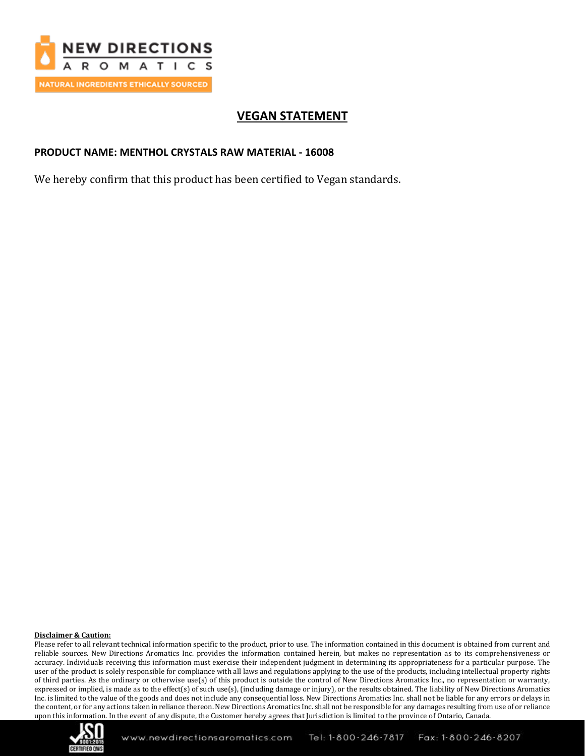

# **VEGAN STATEMENT**

### **PRODUCT NAME: MENTHOL CRYSTALS RAW MATERIAL - 16008**

We hereby confirm that this product has been certified to Vegan standards.

#### **Disclaimer & Caution:**

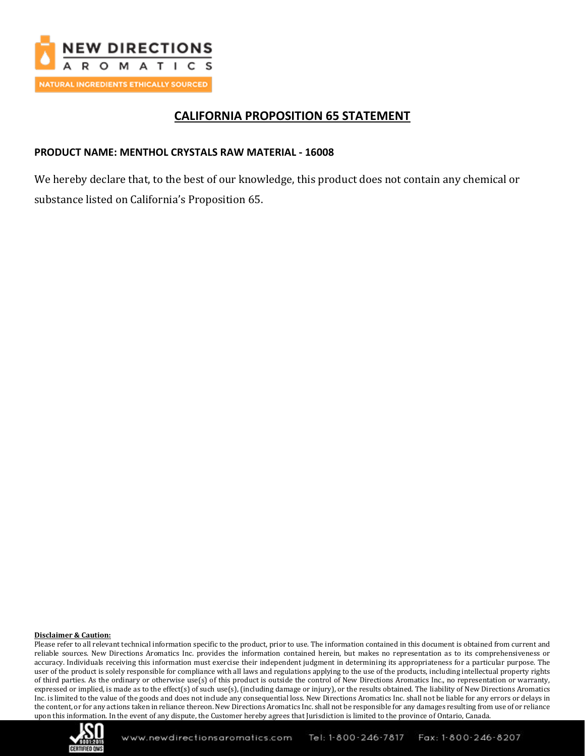

## **CALIFORNIA PROPOSITION 65 STATEMENT**

### **PRODUCT NAME: MENTHOL CRYSTALS RAW MATERIAL - 16008**

We hereby declare that, to the best of our knowledge, this product does not contain any chemical or substance listed on California's Proposition 65.

#### **Disclaimer & Caution:**